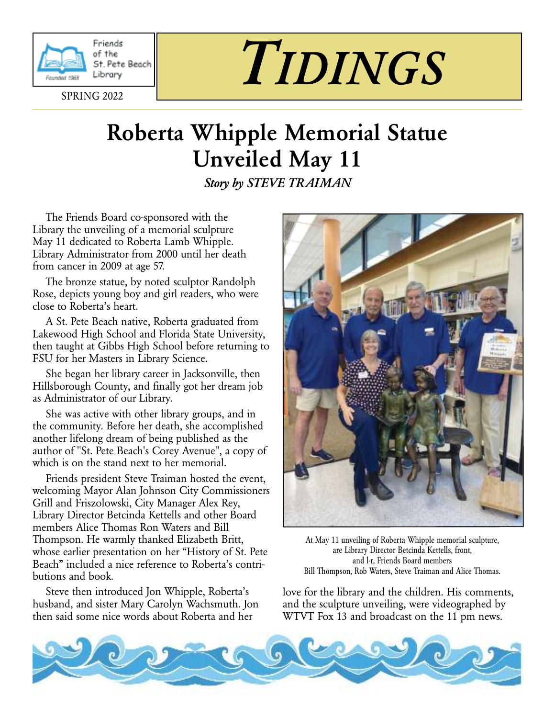

Friends of the St. Pete Beach Library

SPRING 2022

# *TIDINGS*

# **Roberta Whipple Memorial Statue Unveiled May 11**

*Story by STEVE TRAIMAN*

The Friends Board co-sponsored with the Library the unveiling of a memorial sculpture May 11 dedicated to Roberta Lamb Whipple. Library Administrator from 2000 until her death from cancer in 2009 at age 57.

The bronze statue, by noted sculptor Randolph Rose, depicts young boy and girl readers, who were close to Roberta's heart.

A St. Pete Beach native, Roberta graduated from Lakewood High School and Florida State University, then taught at Gibbs High School before returning to FSU for her Masters in Library Science.

She began her library career in Jacksonville, then Hillsborough County, and finally got her dream job as Administrator of our Library.

She was active with other library groups, and in the community. Before her death, she accomplished another lifelong dream of being published as the author of "St. Pete Beach's Corey Avenue", a copy of which is on the stand next to her memorial.

Friends president Steve Traiman hosted the event, welcoming Mayor Alan Johnson City Commissioners Grill and Friszolowski, City Manager Alex Rey, Library Director Betcinda Kettells and other Board members Alice Thomas Ron Waters and Bill Thompson. He warmly thanked Elizabeth Britt, whose earlier presentation on her "History of St. Pete Beach" included a nice reference to Roberta's contributions and book.

Steve then introduced Jon Whipple, Roberta's husband, and sister Mary Carolyn Wachsmuth. Jon then said some nice words about Roberta and her



At May 11 unveiling of Roberta Whipple memorial sculpture, are Library Director Betcinda Kettells, front, and l-r, Friends Board members Bill Thompson, Rob Waters, Steve Traiman and Alice Thomas.

love for the library and the children. His comments, and the sculpture unveiling, were videographed by WTVT Fox 13 and broadcast on the 11 pm news.

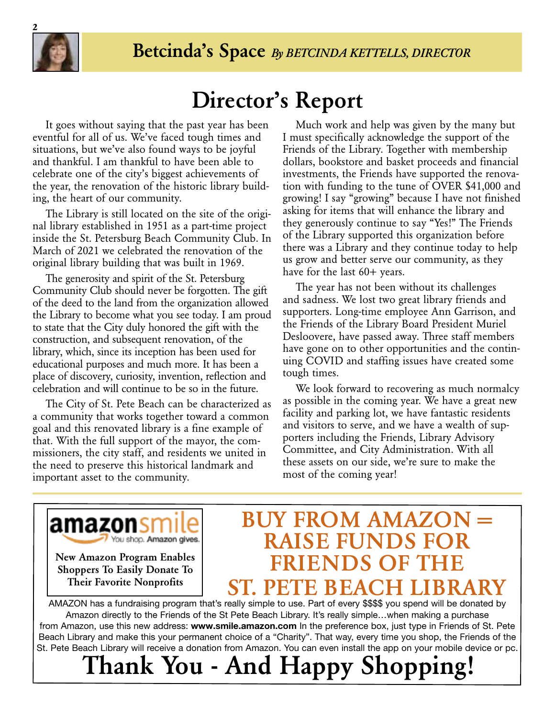

# **Director's Report**

It goes without saying that the past year has been eventful for all of us. We've faced tough times and situations, but we've also found ways to be joyful and thankful. I am thankful to have been able to celebrate one of the city's biggest achievements of the year, the renovation of the historic library building, the heart of our community.

The Library is still located on the site of the original library established in 1951 as a part-time project inside the St. Petersburg Beach Community Club. In March of 2021 we celebrated the renovation of the original library building that was built in 1969.

The generosity and spirit of the St. Petersburg Community Club should never be forgotten. The gift of the deed to the land from the organization allowed the Library to become what you see today. I am proud to state that the City duly honored the gift with the construction, and subsequent renovation, of the library, which, since its inception has been used for educational purposes and much more. It has been a place of discovery, curiosity, invention, reflection and celebration and will continue to be so in the future.

The City of St. Pete Beach can be characterized as a community that works together toward a common goal and this renovated library is a fine example of that. With the full support of the mayor, the commissioners, the city staff, and residents we united in the need to preserve this historical landmark and important asset to the community.

Much work and help was given by the many but I must specifically acknowledge the support of the Friends of the Library. Together with membership dollars, bookstore and basket proceeds and financial investments, the Friends have supported the renovation with funding to the tune of OVER \$41,000 and growing! I say "growing" because I have not finished asking for items that will enhance the library and they generously continue to say "Yes!" The Friends of the Library supported this organization before there was a Library and they continue today to help us grow and better serve our community, as they have for the last 60+ years.

The year has not been without its challenges and sadness. We lost two great library friends and supporters. Long-time employee Ann Garrison, and the Friends of the Library Board President Muriel Desloovere, have passed away. Three staff members have gone on to other opportunities and the continuing COVID and staffing issues have created some tough times.

We look forward to recovering as much normalcy as possible in the coming year. We have a great new facility and parking lot, we have fantastic residents and visitors to serve, and we have a wealth of supporters including the Friends, Library Advisory Committee, and City Administration. With all these assets on our side, we're sure to make the most of the coming year!

amazonsm You shop. Amazon gives.

**New Amazon Program Enables Shoppers To Easily Donate To Their Favorite Nonprofits**

## **BUY FROM AMAZON = RAISE FUNDS FC FRIENDS OF T ST. PETE BEACH LIBR**

AMAZON has a fundraising program that's really simple to use. Part of every \$\$\$\$ you spend will be donated by Amazon directly to the Friends of the St Pete Beach Library. It's really simple…when making a purchase from Amazon, use this new address: **www.smile.amazon.com** In the preference box, just type in Friends of St. Pete Beach Library and make this your permanent choice of a "Charity". That way, every time you shop, the Friends of the St. Pete Beach Library will receive a donation from Amazon. You can even install the app on your mobile device or pc.

# **Thank You - And Happy Shopping!**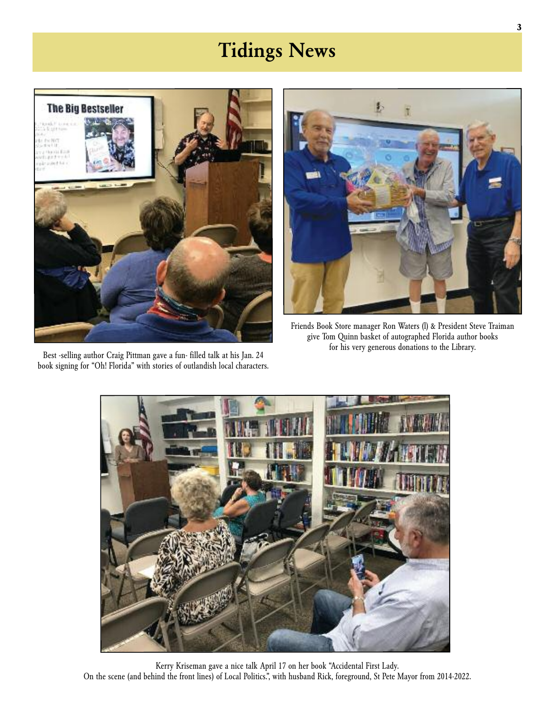# **Tidings News**



Best -selling author Craig Pittman gave a fun- filled talk at his Jan. 24 book signing for "Oh! Florida" with stories of outlandish local characters.



Friends Book Store manager Ron Waters (l) & President Steve Traiman give Tom Quinn basket of autographed Florida author books for his very generous donations to the Library.



Kerry Kriseman gave a nice talk April 17 on her book "Accidental First Lady. On the scene (and behind the front lines) of Local Politics.", with husband Rick, foreground, St Pete Mayor from 2014-2022.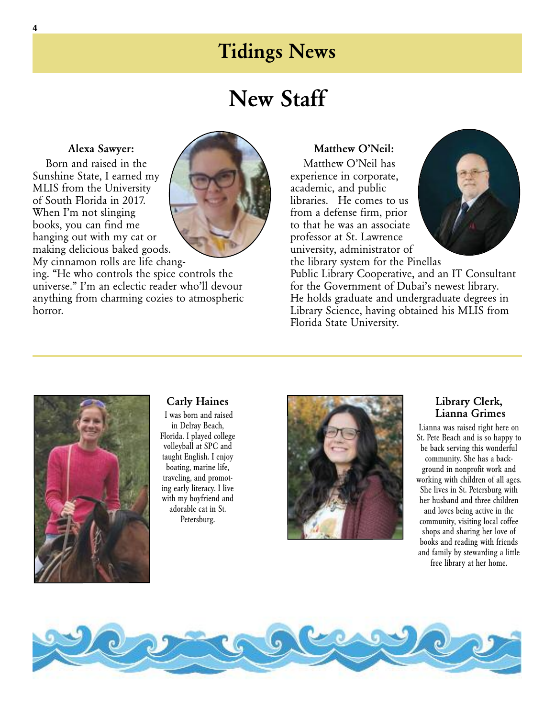### **Tidings News**

## **New Staff**

#### **Alexa Sawyer:**

Born and raised in the Sunshine State, I earned my MLIS from the University of South Florida in 2017. When I'm not slinging books, you can find me hanging out with my cat or making delicious baked goods. My cinnamon rolls are life chang-



ing. "He who controls the spice controls the universe." I'm an eclectic reader who'll devour anything from charming cozies to atmospheric horror.

#### **Matthew O'Neil:**

Matthew O'Neil has experience in corporate, academic, and public libraries. He comes to us from a defense firm, prior to that he was an associate professor at St. Lawrence university, administrator of



the library system for the Pinellas Public Library Cooperative, and an IT Consultant for the Government of Dubai's newest library. He holds graduate and undergraduate degrees in Library Science, having obtained his MLIS from Florida State University.



#### **Carly Haines**

I was born and raised in Delray Beach, Florida. I played college volleyball at SPC and taught English. I enjoy boating, marine life, traveling, and promoting early literacy. I live with my boyfriend and adorable cat in St. Petersburg.



#### **Library Clerk, Lianna Grimes**

Lianna was raised right here on St. Pete Beach and is so happy to be back serving this wonderful community. She has a background in nonprofit work and working with children of all ages. She lives in St. Petersburg with her husband and three children and loves being active in the community, visiting local coffee shops and sharing her love of books and reading with friends and family by stewarding a little free library at her home.

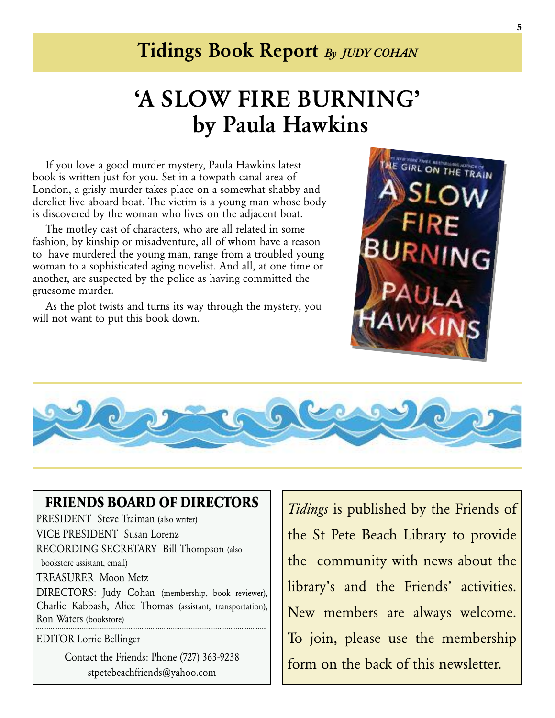### **Tidings Book Report** *By JUDY COHAN*

# **'A SLOW FIRE BURNING' by Paula Hawkins**

If you love a good murder mystery, Paula Hawkins latest book is written just for you. Set in a towpath canal area of London, a grisly murder takes place on a somewhat shabby and derelict live aboard boat. The victim is a young man whose body is discovered by the woman who lives on the adjacent boat.

The motley cast of characters, who are all related in some fashion, by kinship or misadventure, all of whom have a reason to have murdered the young man, range from a troubled young woman to a sophisticated aging novelist. And all, at one time or another, are suspected by the police as having committed the gruesome murder.

As the plot twists and turns its way through the mystery, you will not want to put this book down.





#### **FRIENDS BOARD OF DIRECTORS**

PRESIDENT Steve Traiman (also writer) VICE PRESIDENT Susan Lorenz RECORDING SECRETARY Bill Thompson (also bookstore assistant, email)

TREASURER Moon Metz

DIRECTORS: Judy Cohan (membership, book reviewer), Charlie Kabbash, Alice Thomas (assistant, transportation), Ron Waters (bookstore)

EDITOR Lorrie Bellinger

Contact the Friends: Phone (727) 363-9238 stpetebeachfriends@yahoo.com

*Tidings* is published by the Friends of the St Pete Beach Library to provide the community with news about the library's and the Friends' activities. New members are always welcome. To join, please use the membership form on the back of this newsletter.